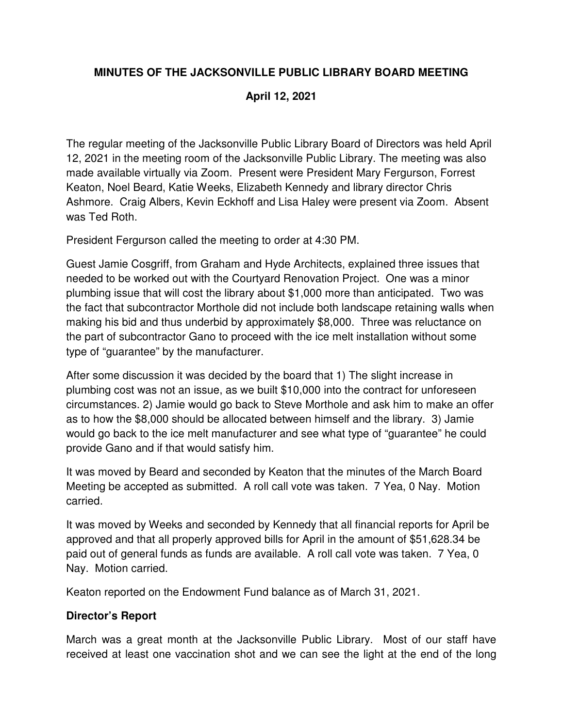## **MINUTES OF THE JACKSONVILLE PUBLIC LIBRARY BOARD MEETING**

### **April 12, 2021**

The regular meeting of the Jacksonville Public Library Board of Directors was held April 12, 2021 in the meeting room of the Jacksonville Public Library. The meeting was also made available virtually via Zoom. Present were President Mary Fergurson, Forrest Keaton, Noel Beard, Katie Weeks, Elizabeth Kennedy and library director Chris Ashmore. Craig Albers, Kevin Eckhoff and Lisa Haley were present via Zoom. Absent was Ted Roth.

President Fergurson called the meeting to order at 4:30 PM.

Guest Jamie Cosgriff, from Graham and Hyde Architects, explained three issues that needed to be worked out with the Courtyard Renovation Project. One was a minor plumbing issue that will cost the library about \$1,000 more than anticipated. Two was the fact that subcontractor Morthole did not include both landscape retaining walls when making his bid and thus underbid by approximately \$8,000. Three was reluctance on the part of subcontractor Gano to proceed with the ice melt installation without some type of "guarantee" by the manufacturer.

After some discussion it was decided by the board that 1) The slight increase in plumbing cost was not an issue, as we built \$10,000 into the contract for unforeseen circumstances. 2) Jamie would go back to Steve Morthole and ask him to make an offer as to how the \$8,000 should be allocated between himself and the library. 3) Jamie would go back to the ice melt manufacturer and see what type of "guarantee" he could provide Gano and if that would satisfy him.

It was moved by Beard and seconded by Keaton that the minutes of the March Board Meeting be accepted as submitted. A roll call vote was taken. 7 Yea, 0 Nay. Motion carried.

It was moved by Weeks and seconded by Kennedy that all financial reports for April be approved and that all properly approved bills for April in the amount of \$51,628.34 be paid out of general funds as funds are available. A roll call vote was taken. 7 Yea, 0 Nay. Motion carried.

Keaton reported on the Endowment Fund balance as of March 31, 2021.

#### **Director's Report**

March was a great month at the Jacksonville Public Library. Most of our staff have received at least one vaccination shot and we can see the light at the end of the long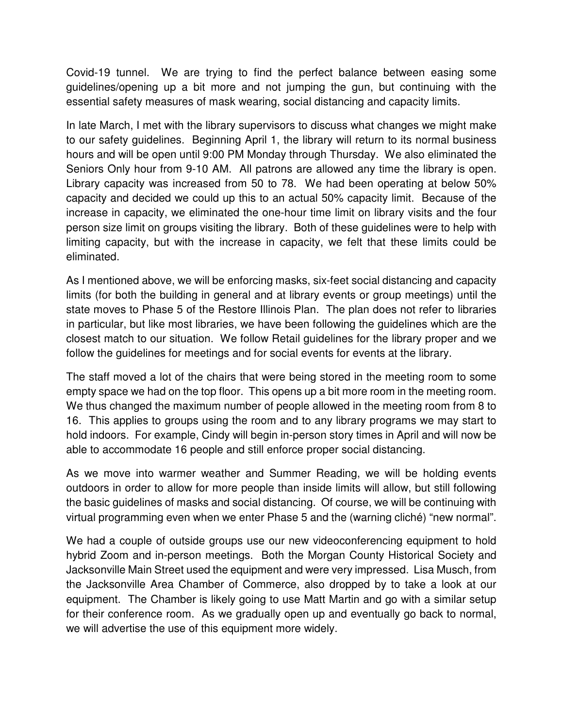Covid-19 tunnel. We are trying to find the perfect balance between easing some guidelines/opening up a bit more and not jumping the gun, but continuing with the essential safety measures of mask wearing, social distancing and capacity limits.

In late March, I met with the library supervisors to discuss what changes we might make to our safety guidelines. Beginning April 1, the library will return to its normal business hours and will be open until 9:00 PM Monday through Thursday. We also eliminated the Seniors Only hour from 9-10 AM. All patrons are allowed any time the library is open. Library capacity was increased from 50 to 78. We had been operating at below 50% capacity and decided we could up this to an actual 50% capacity limit. Because of the increase in capacity, we eliminated the one-hour time limit on library visits and the four person size limit on groups visiting the library. Both of these guidelines were to help with limiting capacity, but with the increase in capacity, we felt that these limits could be eliminated.

As I mentioned above, we will be enforcing masks, six-feet social distancing and capacity limits (for both the building in general and at library events or group meetings) until the state moves to Phase 5 of the Restore Illinois Plan. The plan does not refer to libraries in particular, but like most libraries, we have been following the guidelines which are the closest match to our situation. We follow Retail guidelines for the library proper and we follow the guidelines for meetings and for social events for events at the library.

The staff moved a lot of the chairs that were being stored in the meeting room to some empty space we had on the top floor. This opens up a bit more room in the meeting room. We thus changed the maximum number of people allowed in the meeting room from 8 to 16. This applies to groups using the room and to any library programs we may start to hold indoors. For example, Cindy will begin in-person story times in April and will now be able to accommodate 16 people and still enforce proper social distancing.

As we move into warmer weather and Summer Reading, we will be holding events outdoors in order to allow for more people than inside limits will allow, but still following the basic guidelines of masks and social distancing. Of course, we will be continuing with virtual programming even when we enter Phase 5 and the (warning cliché) "new normal".

We had a couple of outside groups use our new videoconferencing equipment to hold hybrid Zoom and in-person meetings. Both the Morgan County Historical Society and Jacksonville Main Street used the equipment and were very impressed. Lisa Musch, from the Jacksonville Area Chamber of Commerce, also dropped by to take a look at our equipment. The Chamber is likely going to use Matt Martin and go with a similar setup for their conference room. As we gradually open up and eventually go back to normal, we will advertise the use of this equipment more widely.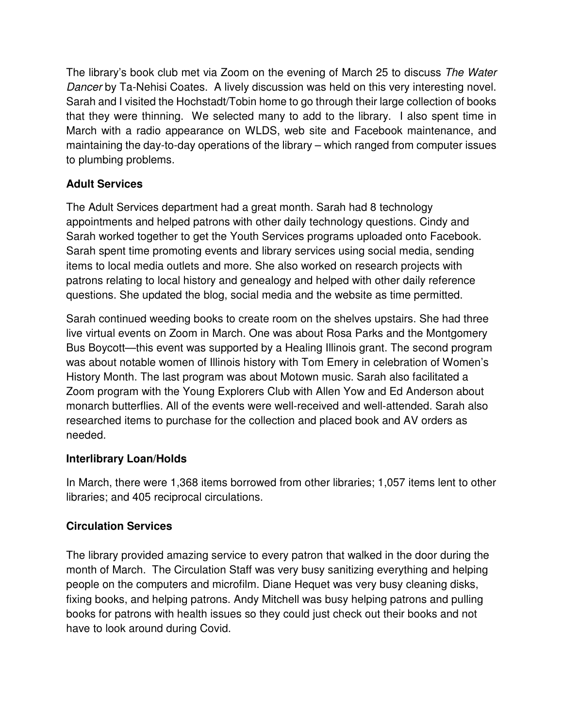The library's book club met via Zoom on the evening of March 25 to discuss The Water Dancer by Ta-Nehisi Coates. A lively discussion was held on this very interesting novel. Sarah and I visited the Hochstadt/Tobin home to go through their large collection of books that they were thinning. We selected many to add to the library. I also spent time in March with a radio appearance on WLDS, web site and Facebook maintenance, and maintaining the day-to-day operations of the library – which ranged from computer issues to plumbing problems.

# **Adult Services**

The Adult Services department had a great month. Sarah had 8 technology appointments and helped patrons with other daily technology questions. Cindy and Sarah worked together to get the Youth Services programs uploaded onto Facebook. Sarah spent time promoting events and library services using social media, sending items to local media outlets and more. She also worked on research projects with patrons relating to local history and genealogy and helped with other daily reference questions. She updated the blog, social media and the website as time permitted.

Sarah continued weeding books to create room on the shelves upstairs. She had three live virtual events on Zoom in March. One was about Rosa Parks and the Montgomery Bus Boycott—this event was supported by a Healing Illinois grant. The second program was about notable women of Illinois history with Tom Emery in celebration of Women's History Month. The last program was about Motown music. Sarah also facilitated a Zoom program with the Young Explorers Club with Allen Yow and Ed Anderson about monarch butterflies. All of the events were well-received and well-attended. Sarah also researched items to purchase for the collection and placed book and AV orders as needed.

## **Interlibrary Loan/Holds**

In March, there were 1,368 items borrowed from other libraries; 1,057 items lent to other libraries; and 405 reciprocal circulations.

## **Circulation Services**

The library provided amazing service to every patron that walked in the door during the month of March. The Circulation Staff was very busy sanitizing everything and helping people on the computers and microfilm. Diane Hequet was very busy cleaning disks, fixing books, and helping patrons. Andy Mitchell was busy helping patrons and pulling books for patrons with health issues so they could just check out their books and not have to look around during Covid.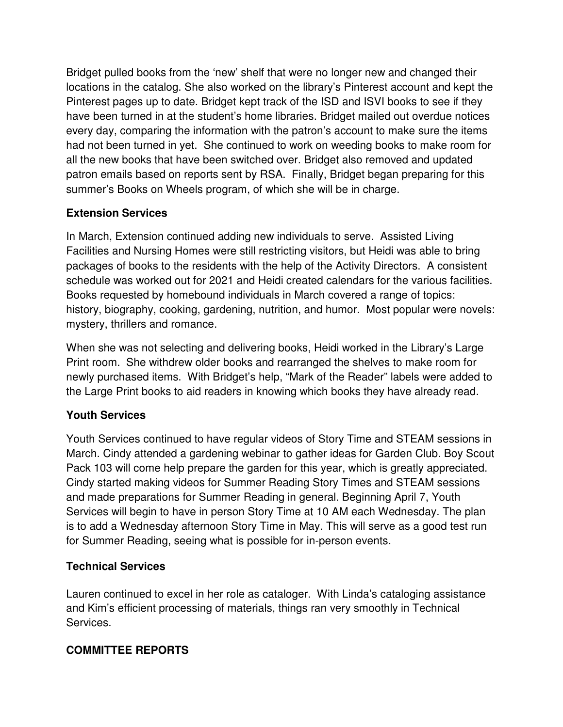Bridget pulled books from the 'new' shelf that were no longer new and changed their locations in the catalog. She also worked on the library's Pinterest account and kept the Pinterest pages up to date. Bridget kept track of the ISD and ISVI books to see if they have been turned in at the student's home libraries. Bridget mailed out overdue notices every day, comparing the information with the patron's account to make sure the items had not been turned in yet. She continued to work on weeding books to make room for all the new books that have been switched over. Bridget also removed and updated patron emails based on reports sent by RSA. Finally, Bridget began preparing for this summer's Books on Wheels program, of which she will be in charge.

### **Extension Services**

In March, Extension continued adding new individuals to serve. Assisted Living Facilities and Nursing Homes were still restricting visitors, but Heidi was able to bring packages of books to the residents with the help of the Activity Directors. A consistent schedule was worked out for 2021 and Heidi created calendars for the various facilities. Books requested by homebound individuals in March covered a range of topics: history, biography, cooking, gardening, nutrition, and humor. Most popular were novels: mystery, thrillers and romance.

When she was not selecting and delivering books, Heidi worked in the Library's Large Print room. She withdrew older books and rearranged the shelves to make room for newly purchased items. With Bridget's help, "Mark of the Reader" labels were added to the Large Print books to aid readers in knowing which books they have already read.

## **Youth Services**

Youth Services continued to have regular videos of Story Time and STEAM sessions in March. Cindy attended a gardening webinar to gather ideas for Garden Club. Boy Scout Pack 103 will come help prepare the garden for this year, which is greatly appreciated. Cindy started making videos for Summer Reading Story Times and STEAM sessions and made preparations for Summer Reading in general. Beginning April 7, Youth Services will begin to have in person Story Time at 10 AM each Wednesday. The plan is to add a Wednesday afternoon Story Time in May. This will serve as a good test run for Summer Reading, seeing what is possible for in-person events.

#### **Technical Services**

Lauren continued to excel in her role as cataloger. With Linda's cataloging assistance and Kim's efficient processing of materials, things ran very smoothly in Technical Services.

## **COMMITTEE REPORTS**